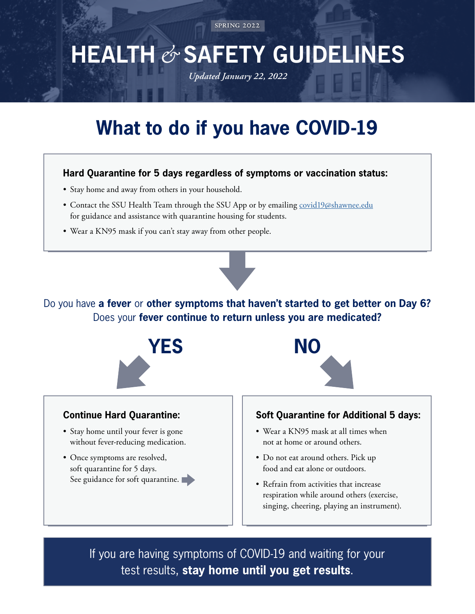spring 2022

## **HEALTH** *&* **SAFETY GUIDELINES**  *Updated January 22, 2022*

# **What to do if you have COVID-19**

#### **Hard Quarantine for 5 days regardless of symptoms or vaccination status:**

- Stay home and away from others in your household.
- Contact the SSU Health Team through the SSU App or by emailing [covid19@shawnee.edu](mailto:covid19%40shawnee.edu?subject=) for guidance and assistance with quarantine housing for students.
- Wear a KN95 mask if you can't stay away from other people.

Do you have **a fever** or **other symptoms that haven't started to get better on Day 6?**  Does your **fever continue to return unless you are medicated?**



### **Continue Hard Quarantine:**

- Stay home until your fever is gone without fever-reducing medication.
- Once symptoms are resolved, soft quarantine for 5 days. See guidance for soft quarantine.



### **Soft Quarantine for Additional 5 days:**

- Wear a KN95 mask at all times when not at home or around others.
- Do not eat around others. Pick up food and eat alone or outdoors.
- Refrain from activities that increase respiration while around others (exercise, singing, cheering, playing an instrument).

If you are having symptoms of COVID-19 and waiting for your test results, **stay home until you get results**.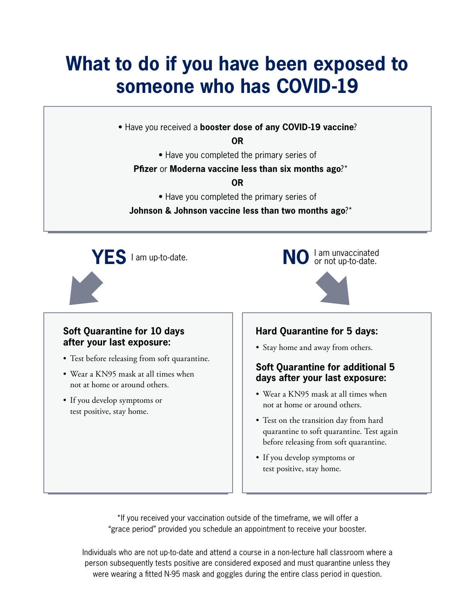## **What to do if you have been exposed to someone who has COVID-19**

• Have you received a **booster dose of any COVID-19 vaccine**?

**OR**

• Have you completed the primary series of

#### **Pfizer** or **Moderna vaccine less than six months ago**?\*

#### **OR**

• Have you completed the primary series of

**Johnson & Johnson vaccine less than two months ago**?\*



#### **Soft Quarantine for 10 days after your last exposure:**

- Test before releasing from soft quarantine.
- Wear a KN95 mask at all times when not at home or around others.
- If you develop symptoms or test positive, stay home.

#### **Hard Quarantine for 5 days:**

• Stay home and away from others.

#### **Soft Quarantine for additional 5 days after your last exposure:**

- Wear a KN95 mask at all times when not at home or around others.
- Test on the transition day from hard quarantine to soft quarantine. Test again before releasing from soft quarantine.
- If you develop symptoms or test positive, stay home.

\*If you received your vaccination outside of the timeframe, we will offer a "grace period" provided you schedule an appointment to receive your booster.

Individuals who are not up-to-date and attend a course in a non-lecture hall classroom where a person subsequently tests positive are considered exposed and must quarantine unless they were wearing a fitted N-95 mask and goggles during the entire class period in question.